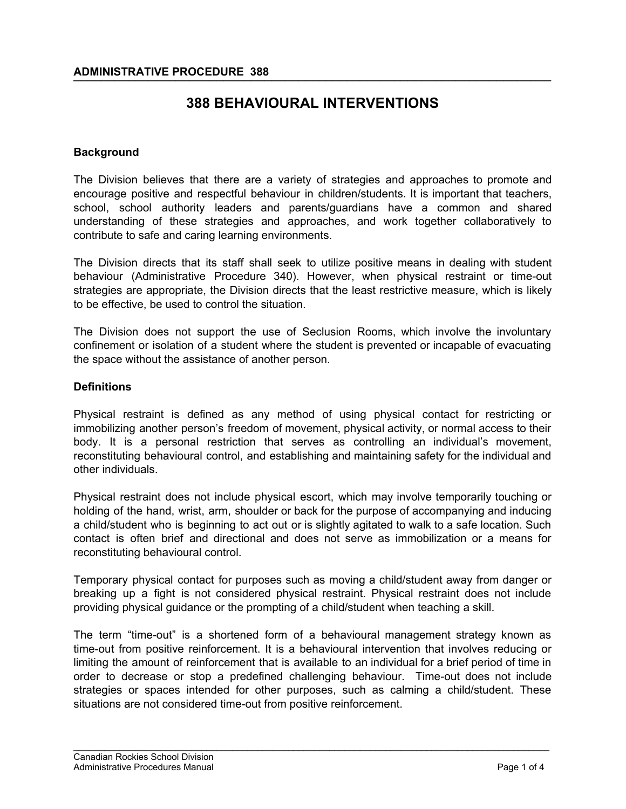# **388 BEHAVIOURAL INTERVENTIONS**

#### **Background**

The Division believes that there are a variety of strategies and approaches to promote and encourage positive and respectful behaviour in children/students. It is important that teachers, school, school authority leaders and parents/guardians have a common and shared understanding of these strategies and approaches, and work together collaboratively to contribute to safe and caring learning environments.

The Division directs that its staff shall seek to utilize positive means in dealing with student behaviour (Administrative Procedure 340). However, when physical restraint or time-out strategies are appropriate, the Division directs that the least restrictive measure, which is likely to be effective, be used to control the situation.

The Division does not support the use of Seclusion Rooms, which involve the involuntary confinement or isolation of a student where the student is prevented or incapable of evacuating the space without the assistance of another person.

#### **Definitions**

Physical restraint is defined as any method of using physical contact for restricting or immobilizing another person's freedom of movement, physical activity, or normal access to their body. It is a personal restriction that serves as controlling an individual's movement, reconstituting behavioural control, and establishing and maintaining safety for the individual and other individuals.

Physical restraint does not include physical escort, which may involve temporarily touching or holding of the hand, wrist, arm, shoulder or back for the purpose of accompanying and inducing a child/student who is beginning to act out or is slightly agitated to walk to a safe location. Such contact is often brief and directional and does not serve as immobilization or a means for reconstituting behavioural control.

Temporary physical contact for purposes such as moving a child/student away from danger or breaking up a fight is not considered physical restraint. Physical restraint does not include providing physical guidance or the prompting of a child/student when teaching a skill.

The term "time-out" is a shortened form of a behavioural management strategy known as time-out from positive reinforcement. It is a behavioural intervention that involves reducing or limiting the amount of reinforcement that is available to an individual for a brief period of time in order to decrease or stop a predefined challenging behaviour. Time-out does not include strategies or spaces intended for other purposes, such as calming a child/student. These situations are not considered time-out from positive reinforcement.

\_\_\_\_\_\_\_\_\_\_\_\_\_\_\_\_\_\_\_\_\_\_\_\_\_\_\_\_\_\_\_\_\_\_\_\_\_\_\_\_\_\_\_\_\_\_\_\_\_\_\_\_\_\_\_\_\_\_\_\_\_\_\_\_\_\_\_\_\_\_\_\_\_\_\_\_\_\_\_\_\_\_\_\_\_\_\_\_\_\_\_\_\_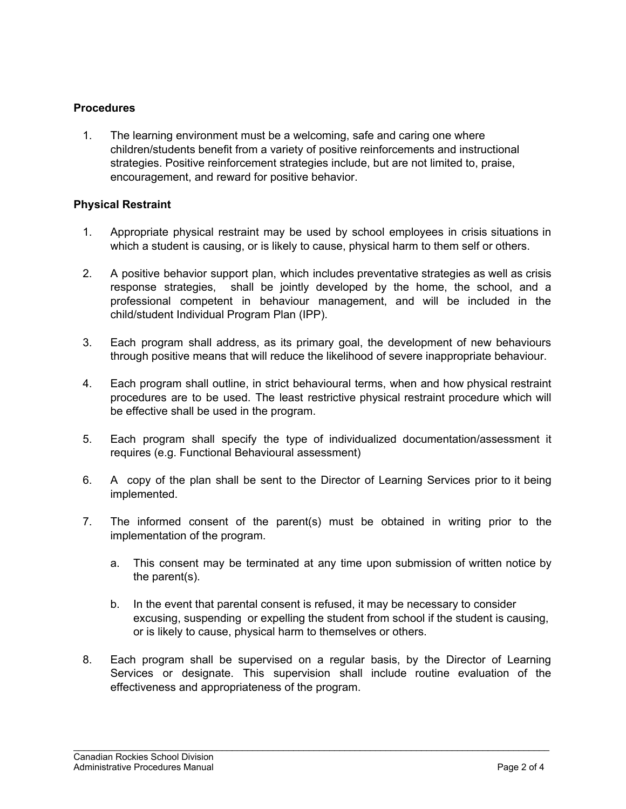## **Procedures**

1. The learning environment must be a welcoming, safe and caring one where children/students benefit from a variety of positive reinforcements and instructional strategies. Positive reinforcement strategies include, but are not limited to, praise, encouragement, and reward for positive behavior.

### **Physical Restraint**

- 1. Appropriate physical restraint may be used by school employees in crisis situations in which a student is causing, or is likely to cause, physical harm to them self or others.
- 2. A positive behavior support plan, which includes preventative strategies as well as crisis response strategies, shall be jointly developed by the home, the school, and a professional competent in behaviour management, and will be included in the child/student Individual Program Plan (IPP).
- 3. Each program shall address, as its primary goal, the development of new behaviours through positive means that will reduce the likelihood of severe inappropriate behaviour.
- 4. Each program shall outline, in strict behavioural terms, when and how physical restraint procedures are to be used. The least restrictive physical restraint procedure which will be effective shall be used in the program.
- 5. Each program shall specify the type of individualized documentation/assessment it requires (e.g. Functional Behavioural assessment)
- 6. A copy of the plan shall be sent to the Director of Learning Services prior to it being implemented.
- 7. The informed consent of the parent(s) must be obtained in writing prior to the implementation of the program.
	- a. This consent may be terminated at any time upon submission of written notice by the parent(s).
	- b. In the event that parental consent is refused, it may be necessary to consider excusing, suspending or expelling the student from school if the student is causing, or is likely to cause, physical harm to themselves or others.
- 8. Each program shall be supervised on a regular basis, by the Director of Learning Services or designate. This supervision shall include routine evaluation of the effectiveness and appropriateness of the program.

\_\_\_\_\_\_\_\_\_\_\_\_\_\_\_\_\_\_\_\_\_\_\_\_\_\_\_\_\_\_\_\_\_\_\_\_\_\_\_\_\_\_\_\_\_\_\_\_\_\_\_\_\_\_\_\_\_\_\_\_\_\_\_\_\_\_\_\_\_\_\_\_\_\_\_\_\_\_\_\_\_\_\_\_\_\_\_\_\_\_\_\_\_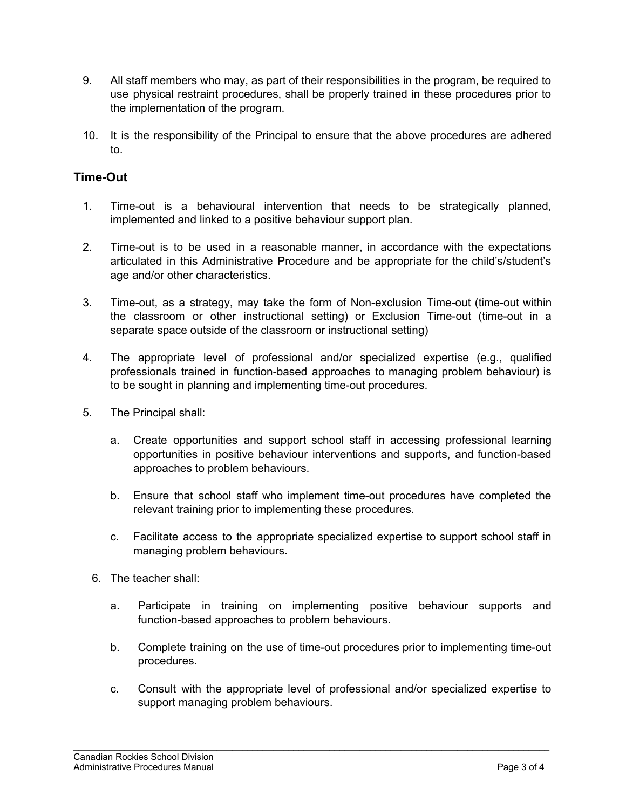- 9. All staff members who may, as part of their responsibilities in the program, be required to use physical restraint procedures, shall be properly trained in these procedures prior to the implementation of the program.
- 10. It is the responsibility of the Principal to ensure that the above procedures are adhered to.

# **Time-Out**

- 1. Time-out is a behavioural intervention that needs to be strategically planned, implemented and linked to a positive behaviour support plan.
- 2. Time-out is to be used in a reasonable manner, in accordance with the expectations articulated in this Administrative Procedure and be appropriate for the child's/student's age and/or other characteristics.
- 3. Time-out, as a strategy, may take the form of Non-exclusion Time-out (time-out within the classroom or other instructional setting) or Exclusion Time-out (time-out in a separate space outside of the classroom or instructional setting)
- 4. The appropriate level of professional and/or specialized expertise (e.g., qualified professionals trained in function-based approaches to managing problem behaviour) is to be sought in planning and implementing time-out procedures.
- 5. The Principal shall:
	- a. Create opportunities and support school staff in accessing professional learning opportunities in positive behaviour interventions and supports, and function-based approaches to problem behaviours.
	- b. Ensure that school staff who implement time-out procedures have completed the relevant training prior to implementing these procedures.
	- c. Facilitate access to the appropriate specialized expertise to support school staff in managing problem behaviours.
	- 6. The teacher shall:
		- a. Participate in training on implementing positive behaviour supports and function-based approaches to problem behaviours.
		- b. Complete training on the use of time-out procedures prior to implementing time-out procedures.
		- c. Consult with the appropriate level of professional and/or specialized expertise to support managing problem behaviours.

\_\_\_\_\_\_\_\_\_\_\_\_\_\_\_\_\_\_\_\_\_\_\_\_\_\_\_\_\_\_\_\_\_\_\_\_\_\_\_\_\_\_\_\_\_\_\_\_\_\_\_\_\_\_\_\_\_\_\_\_\_\_\_\_\_\_\_\_\_\_\_\_\_\_\_\_\_\_\_\_\_\_\_\_\_\_\_\_\_\_\_\_\_